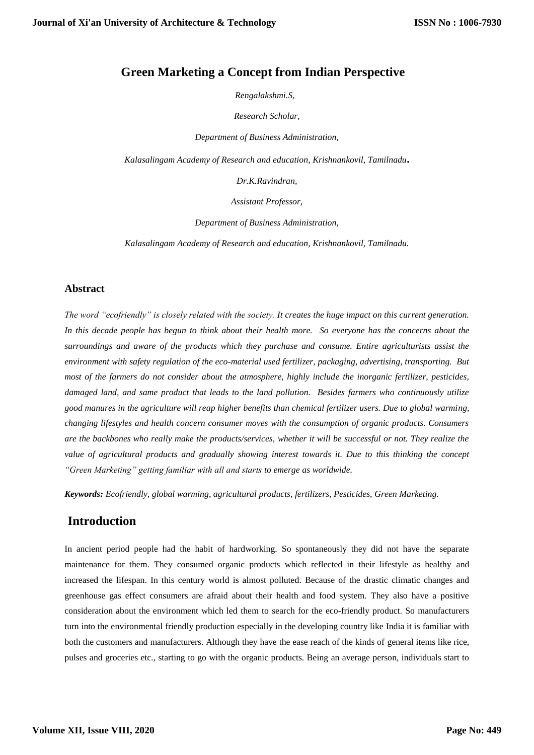### **Green Marketing a Concept from Indian Perspective**

 *Rengalakshmi.S,*

*Research Scholar,*

*Department of Business Administration,*

*Kalasalingam Academy of Research and education, Krishnankovil, Tamilnadu***.**

*Dr.K.Ravindran,*

*Assistant Professor,*

*Department of Business Administration,*

*Kalasalingam Academy of Research and education, Krishnankovil, Tamilnadu.*

#### **Abstract**

*The word "ecofriendly" is closely related with the society. It creates the huge impact on this current generation. In this decade people has begun to think about their health more. So everyone has the concerns about the surroundings and aware of the products which they purchase and consume. Entire agriculturists assist the environment with safety regulation of the eco-material used fertilizer, packaging, advertising, transporting. But most of the farmers do not consider about the atmosphere, highly include the inorganic fertilizer, pesticides, damaged land, and same product that leads to the land pollution. Besides farmers who continuously utilize good manures in the agriculture will reap higher benefits than chemical fertilizer users. Due to global warming, changing lifestyles and health concern consumer moves with the consumption of organic products. Consumers are the backbones who really make the products/services, whether it will be successful or not. They realize the value of agricultural products and gradually showing interest towards it. Due to this thinking the concept "Green Marketing" getting familiar with all and starts to emerge as worldwide.* 

*Keywords: Ecofriendly, global warming, agricultural products, fertilizers, Pesticides, Green Marketing.*

#### **Introduction**

In ancient period people had the habit of hardworking. So spontaneously they did not have the separate maintenance for them. They consumed organic products which reflected in their lifestyle as healthy and increased the lifespan. In this century world is almost polluted. Because of the drastic climatic changes and greenhouse gas effect consumers are afraid about their health and food system. They also have a positive consideration about the environment which led them to search for the eco-friendly product. So manufacturers turn into the environmental friendly production especially in the developing country like India it is familiar with both the customers and manufacturers. Although they have the ease reach of the kinds of general items like rice, pulses and groceries etc., starting to go with the organic products. Being an average person, individuals start to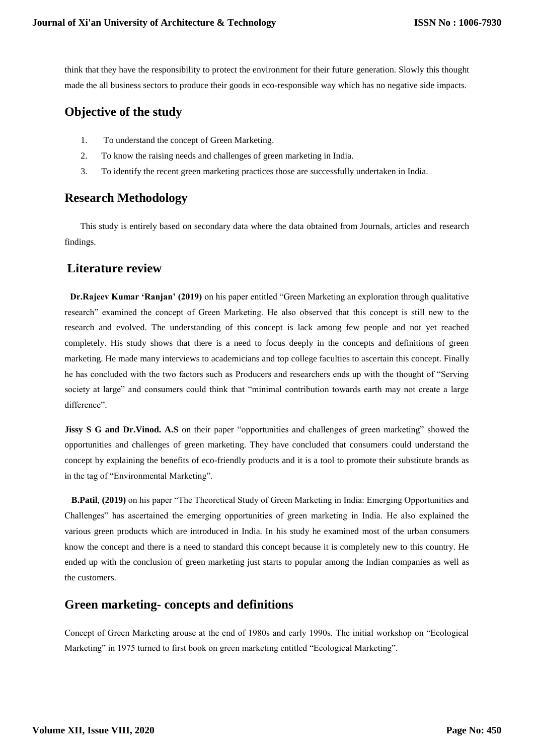think that they have the responsibility to protect the environment for their future generation. Slowly this thought made the all business sectors to produce their goods in eco-responsible way which has no negative side impacts.

# **Objective of the study**

- 1. To understand the concept of Green Marketing.
- 2. To know the raising needs and challenges of green marketing in India.
- 3. To identify the recent green marketing practices those are successfully undertaken in India.

# **Research Methodology**

 This study is entirely based on secondary data where the data obtained from Journals, articles and research findings.

# **Literature review**

 **Dr.Rajeev Kumar 'Ranjan' (2019)** on his paper entitled "Green Marketing an exploration through qualitative research" examined the concept of Green Marketing. He also observed that this concept is still new to the research and evolved. The understanding of this concept is lack among few people and not yet reached completely. His study shows that there is a need to focus deeply in the concepts and definitions of green marketing. He made many interviews to academicians and top college faculties to ascertain this concept. Finally he has concluded with the two factors such as Producers and researchers ends up with the thought of "Serving society at large" and consumers could think that "minimal contribution towards earth may not create a large difference".

**Jissy S G and Dr. Vinod. A.S** on their paper "opportunities and challenges of green marketing" showed the opportunities and challenges of green marketing. They have concluded that consumers could understand the concept by explaining the benefits of eco-friendly products and it is a tool to promote their substitute brands as in the tag of "Environmental Marketing".

 **B.Patil**, **(2019)** on his paper "The Theoretical Study of Green Marketing in India: Emerging Opportunities and Challenges" has ascertained the emerging opportunities of green marketing in India. He also explained the various green products which are introduced in India. In his study he examined most of the urban consumers know the concept and there is a need to standard this concept because it is completely new to this country. He ended up with the conclusion of green marketing just starts to popular among the Indian companies as well as the customers.

# **Green marketing- concepts and definitions**

Concept of Green Marketing arouse at the end of 1980s and early 1990s. The initial workshop on "Ecological Marketing" in 1975 turned to first book on green marketing entitled "Ecological Marketing".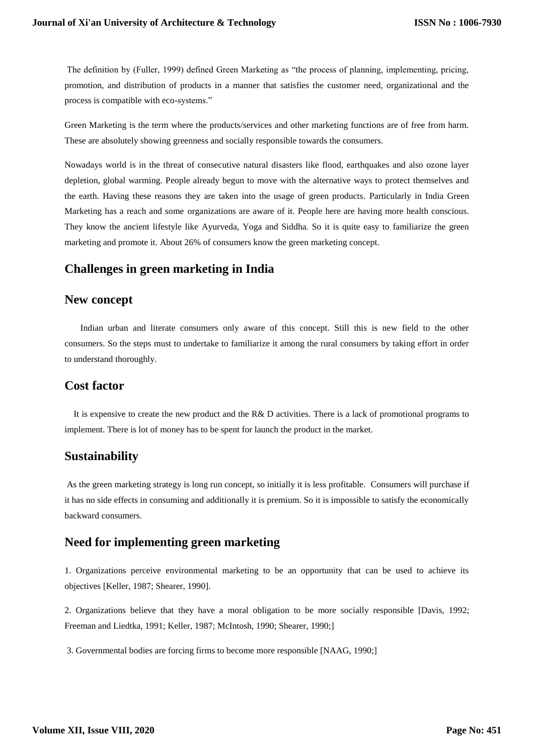The definition by (Fuller, 1999) defined Green Marketing as "the process of planning, implementing, pricing, promotion, and distribution of products in a manner that satisfies the customer need, organizational and the process is compatible with eco-systems."

Green Marketing is the term where the products/services and other marketing functions are of free from harm. These are absolutely showing greenness and socially responsible towards the consumers.

Nowadays world is in the threat of consecutive natural disasters like flood, earthquakes and also ozone layer depletion, global warming. People already begun to move with the alternative ways to protect themselves and the earth. Having these reasons they are taken into the usage of green products. Particularly in India Green Marketing has a reach and some organizations are aware of it. People here are having more health conscious. They know the ancient lifestyle like Ayurveda, Yoga and Siddha. So it is quite easy to familiarize the green marketing and promote it. About 26% of consumers know the green marketing concept.

# **Challenges in green marketing in India**

### **New concept**

 Indian urban and literate consumers only aware of this concept. Still this is new field to the other consumers. So the steps must to undertake to familiarize it among the rural consumers by taking effort in order to understand thoroughly.

### **Cost factor**

It is expensive to create the new product and the R& D activities. There is a lack of promotional programs to implement. There is lot of money has to be spent for launch the product in the market.

### **Sustainability**

As the green marketing strategy is long run concept, so initially it is less profitable.Consumers will purchase if it has no side effects in consuming and additionally it is premium. So it is impossible to satisfy the economically backward consumers.

### **Need for implementing green marketing**

1. Organizations perceive environmental marketing to be an opportunity that can be used to achieve its objectives [Keller, 1987; Shearer, 1990].

2. Organizations believe that they have a moral obligation to be more socially responsible [Davis, 1992; Freeman and Liedtka, 1991; Keller, 1987; McIntosh, 1990; Shearer, 1990;]

3. Governmental bodies are forcing firms to become more responsible [NAAG, 1990;]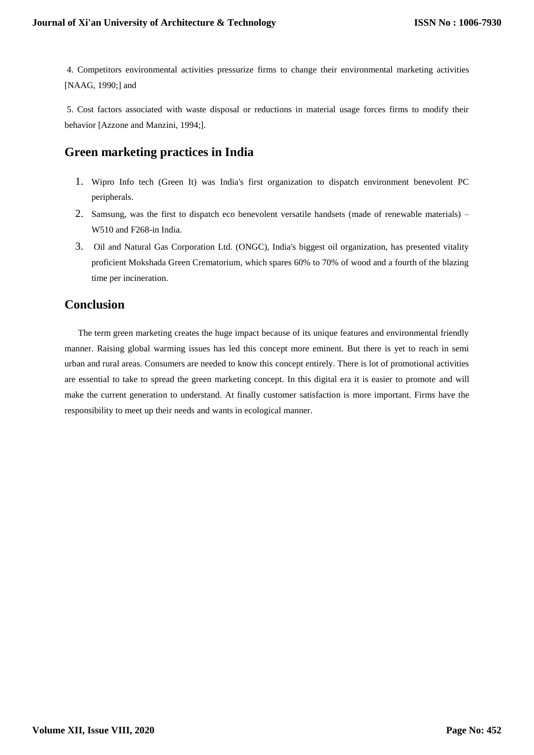4. Competitors environmental activities pressurize firms to change their environmental marketing activities [NAAG, 1990;] and

5. Cost factors associated with waste disposal or reductions in material usage forces firms to modify their behavior [Azzone and Manzini, 1994;].

# **Green marketing practices in India**

- 1. Wipro Info tech (Green It) was India's first organization to dispatch environment benevolent PC peripherals.
- 2. Samsung, was the first to dispatch eco benevolent versatile handsets (made of renewable materials) W510 and F268-in India.
- 3. Oil and Natural Gas Corporation Ltd. (ONGC), India's biggest oil organization, has presented vitality proficient Mokshada Green Crematorium, which spares 60% to 70% of wood and a fourth of the blazing time per incineration.

# **Conclusion**

 The term green marketing creates the huge impact because of its unique features and environmental friendly manner. Raising global warming issues has led this concept more eminent. But there is yet to reach in semi urban and rural areas. Consumers are needed to know this concept entirely. There is lot of promotional activities are essential to take to spread the green marketing concept. In this digital era it is easier to promote and will make the current generation to understand. At finally customer satisfaction is more important. Firms have the responsibility to meet up their needs and wants in ecological manner.